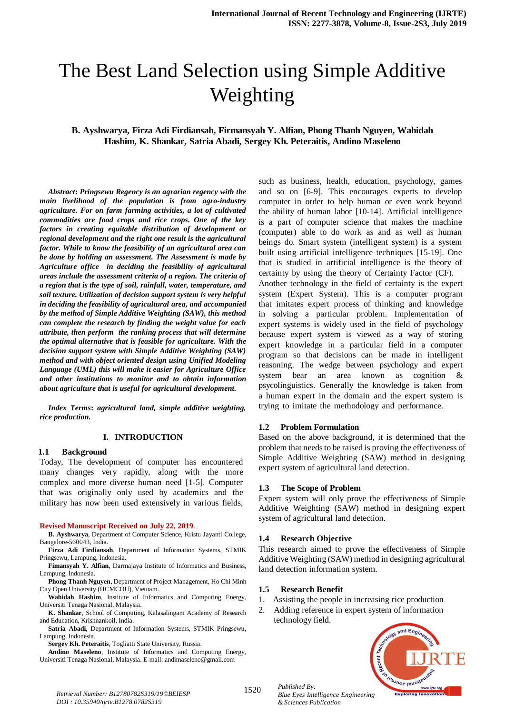# The Best Land Selection using Simple Additive Weighting

### **B. Ayshwarya, Firza Adi Firdiansah, Firmansyah Y. Alfian, Phong Thanh Nguyen, Wahidah Hashim, K. Shankar, Satria Abadi, Sergey Kh. Peteraitis, Andino Maseleno**

*Abstract***:** *Pringsewu Regency is an agrarian regency with the main livelihood of the population is from agro-industry agriculture. For on farm farming activities, a lot of cultivated commodities are food crops and rice crops. One of the key factors in creating equitable distribution of development or regional development and the right one result is the agricultural factor. While to know the feasibility of an agricultural area can be done by holding an assessment. The Assessment is made by Agriculture office in deciding the feasibility of agricultural areas include the assessment criteria of a region. The criteria of a region that is the type of soil, rainfall, water, temperature, and soil texture. Utilization of decision support system is very helpful in deciding the feasibility of agricultural area, and accompanied by the method of Simple Additive Weighting (SAW), this method can complete the research by finding the weight value for each attribute, then perform the ranking process that will determine the optimal alternative that is feasible for agriculture. With the decision support system with Simple Additive Weighting (SAW) method and with object oriented design using Unified Modeling Language (UML) this will make it easier for Agriculture Office and other institutions to monitor and to obtain information about agriculture that is useful for agricultural development.* 

*Index Terms***:** *agricultural land, simple additive weighting, rice production.* 

#### **I. INTRODUCTION**

#### **1.1 Background**

Today, The development of computer has encountered many changes very rapidly, along with the more complex and more diverse human need [1-5]. Computer that was originally only used by academics and the military has now been used extensively in various fields,

#### **Revised Manuscript Received on July 22, 2019**.

**B. Ayshwarya**, Department of Computer Science, Kristu Jayanti College, Bangalore-560043, India.

**Firza Adi Firdiansah**, Department of Information Systems, STMIK Pringsewu, Lampung, Indonesia.

**Fimansyah Y. Alfian**, Darmajaya Institute of Informatics and Business, Lampung, Indonesia.

**Phong Thanh Nguyen**, Department of Project Management, Ho Chi Minh City Open University (HCMCOU), Vietnam.

**Wahidah Hashim**, Institute of Informatics and Computing Energy, Universiti Tenaga Nasional, Malaysia.

**K. Shankar**, School of Computing, Kalasalingam Academy of Research and Education, Krishnankoil, India.

**Satria Abadi,** Department of Information Systems, STMIK Pringsewu, Lampung, Indonesia.

**Sergey Kh. Peteraitis**, Togliatti State University, Russia.

**Andino Maseleno**, Institute of Informatics and Computing Energy, Universiti Tenaga Nasional, Malaysia. E-mail: andimaseleno@gmail.com

such as business, health, education, psychology, games and so on  $[6-9]$ . This encourages experts to develop computer in order to help human or even work beyond the ability of human labor  $[10-14]$ . Artificial intelligence is a part of computer science that makes the machine (computer) able to do work as and as well as human beings do. Smart system (intelligent system) is a system built using artificial intelligence techniques [15-19]. One that is studied in artificial intelligence is the theory of certainty by using the theory of Certainty Factor (CF). Another technology in the field of certainty is the expert system (Expert System). This is a computer program that imitates expert process of thinking and knowledge in solving a particular problem. Implementation of expert systems is widely used in the field of psychology because expert system is viewed as a way of storing expert knowledge in a particular field in a computer program so that decisions can be made in intelligent reasoning. The wedge between psychology and expert system bear an area known as cognition  $\&$ psycolinguistics. Generally the knowledge is taken from a human expert in the domain and the expert system is trying to imitate the methodology and performance.

#### **1.2 Problem Formulation**

Based on the above background, it is determined that the problem that needs to be raised is proving the effectiveness of Simple Additive Weighting (SAW) method in designing expert system of agricultural land detection.

#### **1.3 The Scope of Problem**

Expert system will only prove the effectiveness of Simple Additive Weighting (SAW) method in designing expert system of agricultural land detection.

#### **1.4 Research Objective**

This research aimed to prove the effectiveness of Simple Additive Weighting (SAW) method in designing agricultural land detection information system.

#### **1.5 Research Benefit**

- 1. Assisting the people in increasing rice production
- 2. Adding reference in expert system of information technology field.

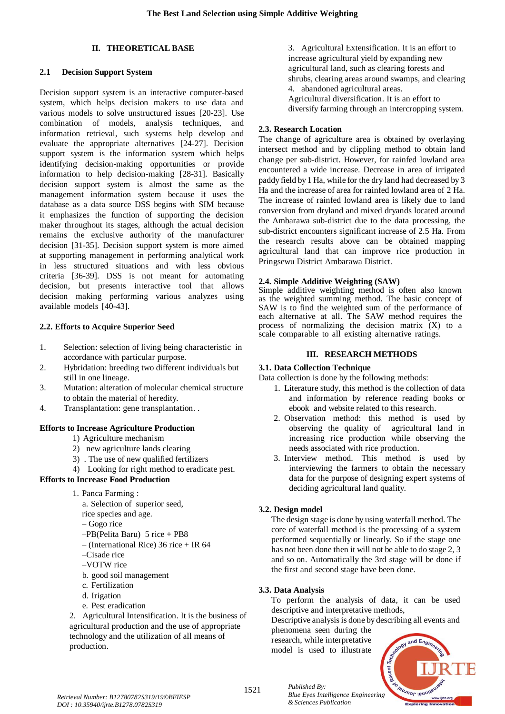## **II. THEORETICAL BASE**

### **2.1 Decision Support System**

Decision support system is an interactive computer-based system, which helps decision makers to use data and various models to solve unstructured issues [20-23]. Use combination of models, analysis techniques, and information retrieval, such systems help develop and evaluate the appropriate alternatives  $[24-27]$ . Decision support system is the information system which helps identifying decision-making opportunities or provide information to help decision-making  $[28-31]$ . Basically decision support system is almost the same as the management information system because it uses the database as a data source DSS begins with SIM because it emphasizes the function of supporting the decision maker throughout its stages, although the actual decision remains the exclusive authority of the manufacturer decision [31-35]. Decision support system is more aimed at supporting management in performing analytical work in less structured situations and with less obvious criteria [36-39]. DSS is not meant for automating decision, but presents interactive tool that allows decision making performing various analyzes using available models [40-43].

### **2.2. Efforts to Acquire Superior Seed**

- 1. Selection: selection of living being characteristic in accordance with particular purpose.
- 2. Hybridation: breeding two different individuals but still in one lineage.
- 3. Mutation: alteration of molecular chemical structure to obtain the material of heredity.
- 4. Transplantation: gene transplantation. .

## **Efforts to Increase Agriculture Production**

- 1) Agriculture mechanism
- 2) new agriculture lands clearing
- 3) . The use of new qualified fertilizers
- 4) Looking for right method to eradicate pest.

## **Efforts to Increase Food Production**

1. Panca Farming :

a. Selection of superior seed,

- rice species and age.
- Gogo rice
- $-PB(Pelita Baru)$  5 rice + PB8
- (International Rice) 36 rice + IR 64
- –Cisade rice
- –VOTW rice
- b. good soil management
- c. Fertilization
- d. Irigation
- e. Pest eradication

2. Agricultural Intensification. It is the business of agricultural production and the use of appropriate technology and the utilization of all means of production.

3. Agricultural Extensification. It is an effort to increase agricultural yield by expanding new agricultural land, such as clearing forests and shrubs, clearing areas around swamps, and clearing 4. abandoned agricultural areas. Agricultural diversification. It is an effort to

diversify farming through an intercropping system.

### **2.3. Research Location**

The change of agriculture area is obtained by overlaying intersect method and by clippling method to obtain land change per sub-district. However, for rainfed lowland area encountered a wide increase. Decrease in area of irrigated paddy field by 1 Ha, while for the dry land had decreased by 3 Ha and the increase of area for rainfed lowland area of 2 Ha. The increase of rainfed lowland area is likely due to land conversion from dryland and mixed dryands located around the Ambarawa sub-district due to the data processing, the sub-district encounters significant increase of 2.5 Ha. From the research results above can be obtained mapping agricultural land that can improve rice production in Pringsewu District Ambarawa District.

### **2.4. Simple Additive Weighting (SAW)**

Simple additive weighting method is often also known as the weighted summing method. The basic concept of SAW is to find the weighted sum of the performance of each alternative at all. The SAW method requires the process of normalizing the decision matrix  $(X)$  to a scale comparable to all existing alternative ratings.

### **III. RESEARCH METHODS**

## **3.1. Data Collection Technique**

Data collection is done by the following methods:

- 1. Literature study, this method is the collection of data and information by reference reading books or ebook and website related to this research.
- 2. Observation method: this method is used by observing the quality of agricultural land in increasing rice production while observing the needs associated with rice production.
- 3. Interview method. This method is used by interviewing the farmers to obtain the necessary data for the purpose of designing expert systems of deciding agricultural land quality.

## **3.2. Design model**

The design stage is done by using waterfall method. The core of waterfall method is the processing of a system performed sequentially or linearly. So if the stage one has not been done then it will not be able to do stage 2, 3 and so on. Automatically the 3rd stage will be done if the first and second stage have been done.

## **3.3. Data Analysis**

To perform the analysis of data, it can be used descriptive and interpretative methods,

Descriptive analysis is done by describing all events and

phenomena seen during the research, while interpretative model is used to illustrate

*& Sciences Publication* 

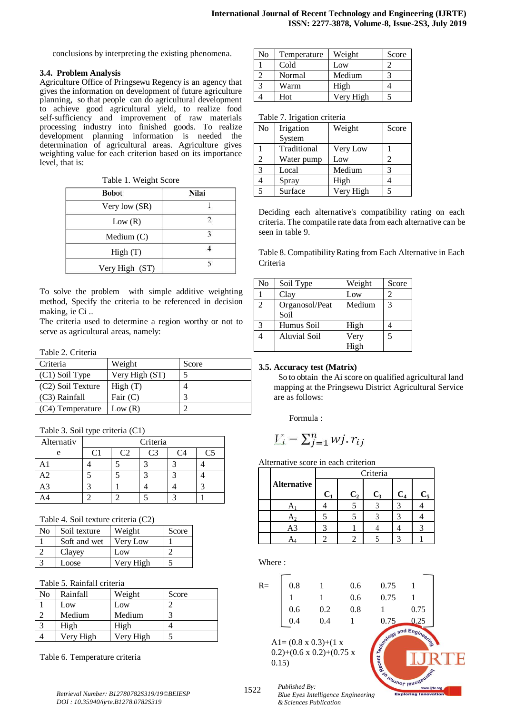conclusions by interpreting the existing phenomena.

#### **3.4. Problem Analysis**

Agriculture Office of Pringsewu Regency is an agency that gives the information on development of future agriculture planning, so that people can do agricultural development to achieve good agricultural yield, to realize food self-sufficiency and improvement of raw materials processing industry into finished goods. To realize development planning information is needed the determination of agricultural areas. Agriculture gives weighting value for each criterion based on its importance level, that is:

Table 1. Weight Score

| <b>Bobot</b>   | Nilai |
|----------------|-------|
| Very low (SR)  |       |
| Low(R)         |       |
| Medium $(C)$   |       |
| High(T)        |       |
| Very High (ST) |       |

To solve the problem with simple additive weighting method, Specify the criteria to be referenced in decision making, ie Ci ..

The criteria used to determine a region worthy or not to serve as agricultural areas, namely:

#### Table 2. Criteria

| Criteria          | Weight         | Score |
|-------------------|----------------|-------|
| $(C1)$ Soil Type  | Very High (ST) |       |
| (C2) Soil Texture | High(T)        |       |
| (C3) Rainfall     | Fair $(C)$     |       |
| (C4) Temperature  | Low $(R)$      |       |

Table 3. Soil type criteria (C1)

| Alternativ |  | Criteria |  |
|------------|--|----------|--|
| e          |  | CЗ       |  |
|            |  |          |  |
| $\Delta$ 2 |  |          |  |
| A3         |  |          |  |
|            |  |          |  |

|  | Table 4. Soil texture criteria (C2) |
|--|-------------------------------------|
|--|-------------------------------------|

| No | Soil texture | Weight    | Score |
|----|--------------|-----------|-------|
|    | Soft and wet | Very Low  |       |
|    | Clayey       | Low       |       |
|    | Loose        | Very High |       |

## Table 5. Rainfall criteria

| No | Rainfall  | Weight    | Score |
|----|-----------|-----------|-------|
|    | Low       | Low       |       |
|    | Medium    | Medium    |       |
|    | High      | High      |       |
|    | Very High | Very High |       |

Table 6. Temperature criteria

| No | Temperature | Weight    | Score |
|----|-------------|-----------|-------|
|    | Cold        | Low       |       |
|    | Normal      | Medium    |       |
|    | Warm        | High      |       |
|    | Hot         | Verv High |       |

#### Table 7. Irigation criteria

| No | Irigation   | Weight    | Score |
|----|-------------|-----------|-------|
|    | System      |           |       |
|    | Traditional | Very Low  |       |
| 2  | Water pump  | Low       | 2     |
| 3  | Local       | Medium    |       |
|    | Spray       | High      |       |
|    | Surface     | Very High |       |

Deciding each alternative's compatibility rating on each criteria. The compatile rate data from each alternative can be seen in table 9.

Table 8. Compatibility Rating from Each Alternative in Each Criteria

| N <sub>0</sub> | Soil Type      | Weight | Score |
|----------------|----------------|--------|-------|
|                | Clay           | Low    |       |
| 2              | Organosol/Peat | Medium | 3     |
|                | Soil           |        |       |
| 3              | Humus Soil     | High   |       |
|                | Aluvial Soil   | Very   | 5     |
|                |                | High   |       |

## **3.5. Accuracy test (Matrix)**

 So to obtain the Ai score on qualified agricultural land mapping at the Pringsewu District Agricultural Service are as follows:

Formula :

$$
V_i = \sum_{j=1}^n wj \cdot r_{ij}
$$

Alternative score in each criterion

|                    |       |                | Criteria |                |       |
|--------------------|-------|----------------|----------|----------------|-------|
| <b>Alternative</b> | $C_1$ | C <sub>2</sub> | $C_3$    | C <sub>4</sub> | $C_5$ |
|                    |       |                |          |                |       |
| A-                 |       |                |          |                |       |
| A3                 |       |                |          |                |       |
|                    |       |                |          |                |       |

Where :

| $R=$ | 0.8 |         | 0.6 | 0.75 |                        |
|------|-----|---------|-----|------|------------------------|
|      |     |         | 0.6 | 0.75 |                        |
|      | 0.6 | 0.2     | 0.8 |      | 0.75                   |
|      | 0.4 | $0.4\,$ |     | 0.75 | 0.25                   |
|      |     |         |     |      | , and $E_{\text{net}}$ |

 $A1 = (0.8 \times 0.3) + (1 \times$  $0.2)+(0.6 \times 0.2)+(0.75 \times$ 0.15)



*Retrieval Number: B12780782S319/19©BEIESP DOI : 10.35940/ijrte.B1278.0782S319*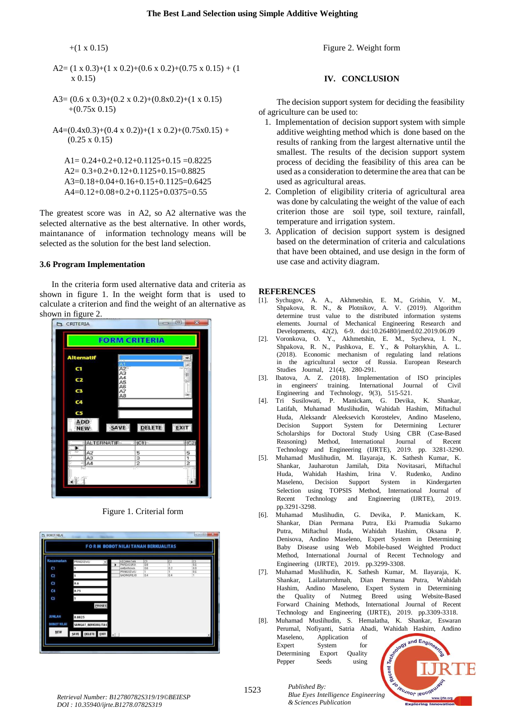$+(1 \times 0.15)$ 

A2= 
$$
(1 \times 0.3)+(1 \times 0.2)+(0.6 \times 0.2)+(0.75 \times 0.15) + (1 \times 0.15)
$$

- A3=  $(0.6 \times 0.3)+(0.2 \times 0.2)+(0.8\times 0.2)+(1 \times 0.15)$  $+(0.75x\;0.15)$
- $A4=(0.4x0.3)+(0.4x0.2)+(1x0.2)+(0.75x0.15) +$ (0.25 x 0.15)

 $A1= 0.24+0.2+0.12+0.1125+0.15 = 0.8225$ A2= 0.3+0.2+0.12+0.1125+0.15=0.8825 A3=0.18+0.04+0.16+0.15+0.1125=0.6425 A4=0.12+0.08+0.2+0.1125+0.0375=0.55

The greatest score was in A2, so A2 alternative was the selected alternative as the best alternative. In other words, maintanance of information technology means will be selected as the solution for the best land selection.

## **3.6 Program Implementation**

In the criteria form used alternative data and criteria as shown in figure 1. In the weight form that is used to calculate a criterion and find the weight of an alternative as



Figure 1. Criterial form

| Kecamatan                | PRINGSEWU   |                      | <b>KECAMATAN</b>      | CT.        | $\mathbb{C}2$ | $\overline{C}$ |
|--------------------------|-------------|----------------------|-----------------------|------------|---------------|----------------|
| C1                       |             | $\ddot{\phantom{1}}$ | PARDASUKA<br>AMBARAWA | 0.8<br>0.6 | т<br>0.2      | 0.6<br>0.8     |
|                          |             |                      | PRINGSEWU             | ī          | T             | 0.6            |
| Q                        |             |                      | GADINGREJO            | 0.4        | 0.4           | ï              |
| G<br>$\overline{a}$<br>G | 0.6<br>0.75 |                      |                       |            |               |                |
|                          |             | PROSES               |                       |            |               |                |
| <b>JUMLAH</b>            | 0.8825      |                      |                       |            |               |                |

Figure 2. Weight form

#### **IV. CONCLUSION**

The decision support system for deciding the feasibility of agriculture can be used to:

- 1. Implementation of decision support system with simple additive weighting method which is done based on the results of ranking from the largest alternative until the smallest. The results of the decision support system process of deciding the feasibility of this area can be used as a consideration to determine the area that can be used as agricultural areas.
- 2. Completion of eligibility criteria of agricultural area was done by calculating the weight of the value of each criterion those are soil type, soil texture, rainfall, temperature and irrigation system.
- 3. Application of decision support system is designed based on the determination of criteria and calculations that have been obtained, and use design in the form of use case and activity diagram.

#### **REFERENCES**

- [1]. Sychugov, A. A., Akhmetshin, E. M., Grishin, V. M., Shpakova, R. N., & Plotnikov, A. V. (2019). Algorithm determine trust value to the distributed information systems elements. Journal of Mechanical Engineering Research and Developments,  $42(2)$ , 6-9. doi:10.26480/jmerd.02.2019.06.09
- [2]. Voronkova, O. Y., Akhmetshin, E. M., Sycheva, I. N., Shpakova, R. N., Pashkova, E. Y., & Poltarykhin, A. L.  $(2018)$ . Economic mechanism of regulating land relations in the agricultural sector of Russia. European Research Studies Journal, 21(4), 280-291.
- [3]. Ibatova, A. Z. (2018). Implementation of ISO principles in engineers' training. International Journal of Civil Engineering and Technology,  $9(3)$ ,  $515-521$ .
- [4]. Tri Susilowati, P. Manickam, G. Devika, K. Shankar, Latifah, Muhamad Muslihudin, Wahidah Hashim, Miftachul Huda, Aleksandr Aleeksevich Korostelev, Andino Maseleno, Decision Support System for Determining Lecturer Scholarships for Doctoral Study Using CBR (Case-Based Reasoning) Method, International Journal of Recent Technology and Engineering (IJRTE), 2019. pp. 3281-3290.
- [5]. Muhamad Muslihudin, M. Ilayaraja, K. Sathesh Kumar, K. Shankar, Jauharotun Jamilah, Dita Novitasari, Miftachul Huda, Wahidah Hashim, Irina V. Rudenko, Andino Maseleno, Decision Support System in Kindergarten Selection using TOPSIS Method, International Journal of Recent Technology and Engineering (IJRTE), 2019. pp.3291-3298.
- [6]. Muhamad Muslihudin, G. Devika, P. Manickam, K. Shankar, Dian Permana Putra, Eki Pramudia Sukarno Putra, Miftachul Huda, Wahidah Hashim, Oksana P. Denisova, Andino Maseleno, Expert System in Determining Baby Disease using Web Mobile-based Weighted Product Method. International Journal of Recent Technology and Engineering (IJRTE), 2019. pp.3299-3308.
- [7]. Muhamad Muslihudin, K. Sathesh Kumar, M. Ilayaraja, K. Shankar, Lailaturrohmah, Dian Permana Putra, Wahidah Hashim, Andino Maseleno, Expert System in Determining the Quality of Nutmeg Breed using Website-Based Forward Chaining Methods, International Journal of Recent Technology and Engineering (IJRTE), 2019. pp.3309-3318.
- [8]. Muhamad Muslihudin, S. Hemalatha, K. Shankar, Eswaran Perumal, Nofiyanti, Satria Abadi, Wahidah Hashim, Andino Maseleno, Application of
	- Expert System for Determining Export Quality Pepper Seeds using



*Retrieval Number: B12780782S319/19©BEIESP DOI : 10.35940/ijrte.B1278.0782S319*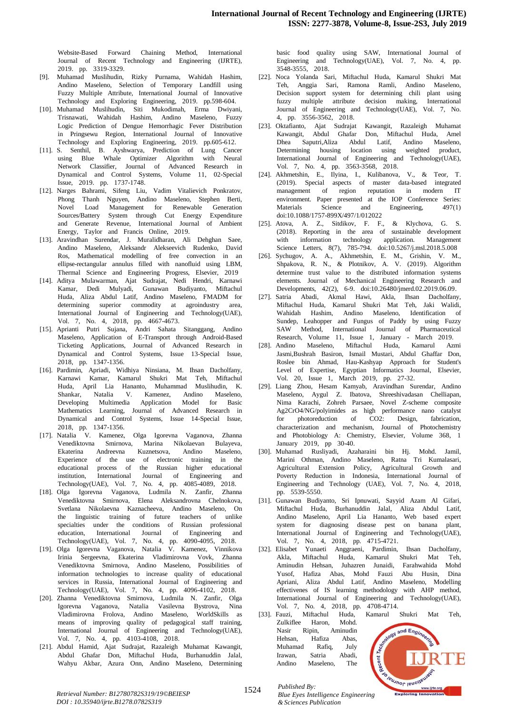Website-Based Forward Chaining Method, International Journal of Recent Technology and Engineering (IJRTE), 2019. pp. 3319-3329.

- [9]. Muhamad Muslihudin, Rizky Purnama, Wahidah Hashim, Andino Maseleno, Selection of Temporary Landfill using Fuzzy Multiple Attribute, International Journal of Innovative Technology and Exploring Engineering, 2019. pp.598-604.
- [10]. Muhamad Muslihudin, Siti Mukodimah, Erma Dwiyani, Trisnawati, Wahidah Hashim, Andino Maseleno, Fuzzy Logic Prediction of Dengue Hemorrhagic Fever Distribution in Pringsewu Region, International Journal of Innovative Technology and Exploring Engineering, 2019. pp.605-612.
- [11]. S. Senthil, B. Ayshwarya, Prediction of Lung Cancer using Blue Whale Optimizer Algorithm with Neural Network Classifier, Journal of Advanced Research in Dynamical and Control Systems, Volume 11, 02-Special Issue, 2019. pp. 1737-1748.
- [12]. Narges Bahrami, Sifeng Liu, Vadim Vitalievich Ponkratov, Phong Thanh Nguyen, Andino Maseleno, Stephen Berti, Novel Load Management for Renewable Generation Sources/Battery System through Cut Energy Expenditure and Generate Revenue, International Journal of Ambient Energy, Taylor and Francis Online, 2019.
- [13]. Aravindhan Surendar, J. Muralidharan, Ali Dehghan Saee, Andino Maseleno, Aleksandr Alekseevich Rudenko, David Ros, Mathematical modelling of free convection in an ellipse-rectangular annulus filled with nanofluid using LBM, Thermal Science and Engineering Progress, Elsevier, 2019
- [14]. Aditya Mulawarman, Ajat Sudrajat, Nedi Hendri, Karnawi Kamar, Dedi Mulyadi, Gunawan Budiyanto, Miftachul Huda, Aliza Abdul Latif, Andino Maseleno, FMADM for determining superior commodity at agroindustry area, International Journal of Engineering and Technology(UAE), Vol. 7, No. 4, 2018, pp. 4667-4673.
- [15]. Aprianti Putri Sujana, Andri Sahata Sitanggang, Andino Maseleno, Application of E-Transport through Android-Based Ticketing Applications, Journal of Advanced Research in Dynamical and Control Systems, Issue 13-Special Issue, 2018, pp. 1347-1356.
- [16]. Pardimin, Apriadi, Widhiya Ninsiana, M. Ihsan Dacholfany, Karnawi Kamar, Kamarul Shukri Mat Teh, Miftachul Huda, April Lia Hananto, Muhammad Muslihudin, K. Shankar, Natalia V. Kamenez, Andino Maseleno, Developing Multimedia Application Model for Basic Mathematics Learning, Journal of Advanced Research in Dynamical and Control Systems, Issue 14-Special Issue, 2018, pp. 1347-1356.
- [17]. Natalia V. Kamenez, Olga Igorevna Vaganova, Zhanna Venediktovna Smirnova, Marina Nikolaevan Bulayeva, Ekaterina Andreevna Kuznetsova, Andino Maseleno, Experience of the use of electronic training in the educational process of the Russian higher educational institution, International Journal of Engineering and Technology(UAE), Vol. 7, No. 4, pp. 4085-4089, 2018.
- [18]. Olga Igorevna Vaganova, Ludmila N. Zanfir, Zhanna Venediktovna Smirnova, Elena Aleksandrovna Chelnokova, Svetlana Nikolaevna Kaznacheeva, Andino Maseleno, On the linguistic training of future teachers of unlike specialties under the conditions of Russian professional education, International Journal of Engineering and Technology(UAE), Vol. 7, No. 4, pp. 4090-4095, 2018.
- [19]. Olga Igorevna Vaganova, Natalia V. Kamenez, Vinnikova Irinia Sergeevna, Ekaterina Vladimirovna Vovk, Zhanna Venediktovna Smirnova, Andino Maseleno, Possibilities of information technologies to increase quality of educational services in Russia, International Journal of Engineering and Technology(UAE), Vol. 7, No. 4, pp.  $4096-4102$ ,  $2018$ .
- [20]. Zhanna Venediktovna Smirnova, Ludmila N. Zanfir, Olga Igorevna Vaganova, Natalia Vasilevna Bystrova, Nina Vladimirovna Frolova, Andino Maseleno, WorldSkills as means of improving quality of pedagogical staff training, International Journal of Engineering and Technology(UAE), Vol. 7, No. 4, pp. 4103-4108, 2018.
- [21]. Abdul Hamid, Ajat Sudrajat, Razaleigh Muhamat Kawangit, Abdul Ghafar Don, Miftachul Huda, Burhanuddin Jalal, Wahyu Akbar, Azura Onn, Andino Maseleno, Determining

basic food quality using SAW, International Journal of Engineering and Technology(UAE), Vol. 7, No. 4, pp. 3548-3555, 2018.

- [22]. Noca Yolanda Sari, Miftachul Huda, Kamarul Shukri Mat Teh, Anggia Sari, Ramona Ramli, Andino Maseleno, Decision support system for determining chili plant using fuzzy multiple attribute decision making, International Journal of Engineering and Technology(UAE), Vol. 7, No. 4, pp. 3556-3562, 2018.
- [23]. Oktafianto, Ajat Sudrajat Kawangit, Razaleigh Muhamat Kawangit, Abdul Ghafar Don, Miftachul Huda, Amel Dhea Saputri,Aliza Abdul Latif, Andino Maseleno, Determining housing location using weighted product, International Journal of Engineering and Technology(UAE), Vol. 7, No. 4, pp. 3563-3568, 2018.
- [24]. Akhmetshin, E., Ilyina, I., Kulibanova, V., & Teor, T. (2019). Special aspects of master data-based integrated management of region reputation in modern IT environment. Paper presented at the IOP Conference Series: Materials Science and Engineering, 497(1) doi:10.1088/1757-899X/497/1/012022
- [25]. Atova, A. Z., Sitdikov, F. F., & Klychova, G. S.  $(2018)$ . Reporting in the area of sustainable development with information technology application. Management Science Letters, 8(7), 785-794. doi:10.5267/j.msl.2018.5.008
- [26]. Sychugov, A. A., Akhmetshin, E. M., Grishin, V. M., Shpakova, R. N., & Plotnikov, A. V. (2019). Algorithm determine trust value to the distributed information systems elements. Journal of Mechanical Engineering Research and Developments, 42(2), 6-9. doi:10.26480/jmerd.02.2019.06.09.
- [27]. Satria Abadi, Akmal Hawi, Akla, Ihsan Dacholfany, Miftachul Huda, Kamarul Shukri Mat Teh, Jaki Walidi, Wahidah Hashim, Andino Maseleno, Identification of Sundep, Leahopper and Fungus of Paddy by using Fuzzy SAW Method, International Journal of Pharmaceutical Research, Volume 11, Issue 1, January - March 2019.
- [28]. Andino Maseleno, Miftachul Huda, Kamarul Azmi Jasmi,Bushrah Basiron, Ismail Mustari, Abdul Ghaffar Don, Roslee bin Ahmad, Hau-Kashyap Approach for Student's Level of Expertise, Egyptian Informatics Journal, Elsevier, Vol. 20, Issue 1, March 2019, pp. 27-32.
- [29]. Liang Zhou, Hesam Kamyab, Aravindhan Surendar, Andino Maseleno, Aygul Z. Ibatova, Shreeshivadasan Chelliapan, Nima Karachi, Zohreh Parsaee, Novel Z-scheme composite Ag2CrO4/NG/polyimides as high performance nano catalyst for photoreduction of CO2: Design, fabrication, characterization and mechanism, Journal of Photochemistry and Photobiology A: Chemistry, Elsevier, Volume 368, 1 January 2019, pp 30-40.
- [30]. Muhamad Rusliyadi, Azaharaini bin Hj. Mohd. Jamil, Marini Othman, Andino Maseleno, Ratna Tri Kumalasari, Agricultural Extension Policy, Agricultural Growth and Poverty Reduction in Indonesia, International Journal of Engineering and Technology (UAE), Vol. 7, No. 4, 2018, pp. 5539-5550.
- [31]. Gunawan Budiyanto, Sri Ipnuwati, Sayyid Azam Al Gifari, Miftachul Huda, Burhanuddin Jalal, Aliza Abdul Latif, Andino Maseleno, April Lia Hananto, Web based expert system for diagnosing disease pest on banana plant, International Journal of Engineering and Technology(UAE), Vol. 7, No. 4, 2018, pp. 4715-4721.
- [32]. Elisabet Yunaeti Anggraeni, Pardimin, Ihsan Dacholfany, Akla, Miftachul Huda, Kamarul Shukri Mat Teh, Aminudin Hehsan, Juhazren Junaidi, Farahwahida Mohd Yusof, Hafiza Abas, Mohd Fauzi Abu Husin, Dina Apriani, Aliza Abdul Latif, Andino Maseleno, Modelling effectivenes of IS learning methodology with AHP method, International Journal of Engineering and Technology(UAE), Vol. 7, No. 4, 2018, pp. 4708-4714.
- [33]. Fauzi, Miftachul Huda, Kamarul Shukri Mat Teh, Zulkiflee Haron, Mohd.<br>Nasir Ripin, Aminudin Hehsan, Hafiza Abas, Muhamad Rafiq, Inkertane Republic Library Zulkiflee Haron, Mohd. Nasir Ripin, Aminudin Hehsan, Hafiza Abas,<br>Muhamad Rafiq, July Muhamad Rafiq, July Irawan, Satria Abadi, Andino Maseleno, The



*Retrieval Number: B12780782S319/19©BEIESP DOI : 10.35940/ijrte.B1278.0782S319*